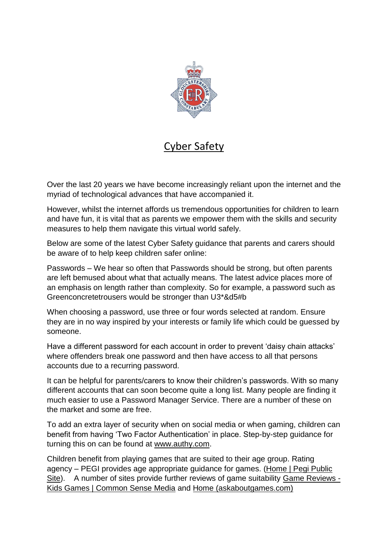

## Cyber Safety

Over the last 20 years we have become increasingly reliant upon the internet and the myriad of technological advances that have accompanied it.

However, whilst the internet affords us tremendous opportunities for children to learn and have fun, it is vital that as parents we empower them with the skills and security measures to help them navigate this virtual world safely.

Below are some of the latest Cyber Safety guidance that parents and carers should be aware of to help keep children safer online:

Passwords – We hear so often that Passwords should be strong, but often parents are left bemused about what that actually means. The latest advice places more of an emphasis on length rather than complexity. So for example, a password such as Greenconcretetrousers would be stronger than U3\*&d5#b

When choosing a password, use three or four words selected at random. Ensure they are in no way inspired by your interests or family life which could be guessed by someone.

Have a different password for each account in order to prevent 'daisy chain attacks' where offenders break one password and then have access to all that persons accounts due to a recurring password.

It can be helpful for parents/carers to know their children's passwords. With so many different accounts that can soon become quite a long list. Many people are finding it much easier to use a Password Manager Service. There are a number of these on the market and some are free.

To add an extra layer of security when on social media or when gaming, children can benefit from having 'Two Factor Authentication' in place. Step-by-step guidance for turning this on can be found at [www.authy.com.](http://www.authy.com/)

Children benefit from playing games that are suited to their age group. Rating agency – PEGI provides age appropriate guidance for games. [\(Home | Pegi Public](https://pegi.info/)  [Site\)](https://pegi.info/). A number of sites provide further reviews of game suitability [Game Reviews -](https://www.commonsensemedia.org/game-reviews) [Kids Games | Common Sense Media](https://www.commonsensemedia.org/game-reviews) and [Home \(askaboutgames.com\)](https://www.askaboutgames.com/)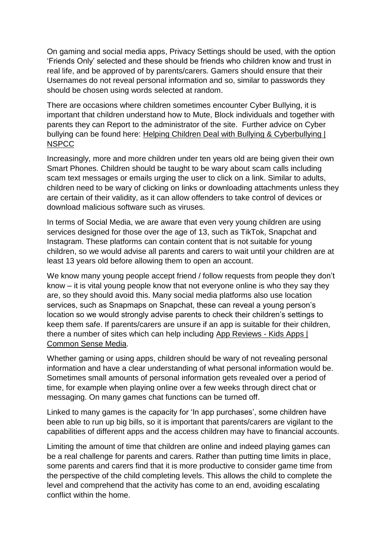On gaming and social media apps, Privacy Settings should be used, with the option 'Friends Only' selected and these should be friends who children know and trust in real life, and be approved of by parents/carers. Gamers should ensure that their Usernames do not reveal personal information and so, similar to passwords they should be chosen using words selected at random.

There are occasions where children sometimes encounter Cyber Bullying, it is important that children understand how to Mute, Block individuals and together with parents they can Report to the administrator of the site. Further advice on Cyber bullying can be found here: [Helping Children Deal with Bullying & Cyberbullying |](https://www.nspcc.org.uk/what-is-child-abuse/types-of-abuse/bullying-and-cyberbullying/)  **[NSPCC](https://www.nspcc.org.uk/what-is-child-abuse/types-of-abuse/bullying-and-cyberbullying/)** 

Increasingly, more and more children under ten years old are being given their own Smart Phones. Children should be taught to be wary about scam calls including scam text messages or emails urging the user to click on a link. Similar to adults, children need to be wary of clicking on links or downloading attachments unless they are certain of their validity, as it can allow offenders to take control of devices or download malicious software such as viruses.

In terms of Social Media, we are aware that even very young children are using services designed for those over the age of 13, such as TikTok, Snapchat and Instagram. These platforms can contain content that is not suitable for young children, so we would advise all parents and carers to wait until your children are at least 13 years old before allowing them to open an account.

We know many young people accept friend / follow requests from people they don't know – it is vital young people know that not everyone online is who they say they are, so they should avoid this. Many social media platforms also use location services, such as Snapmaps on Snapchat, these can reveal a young person's location so we would strongly advise parents to check their children's settings to keep them safe. If parents/carers are unsure if an app is suitable for their children, there a number of sites which can help including [App Reviews -](https://www.commonsensemedia.org/app-reviews) Kids Apps | [Common Sense Media.](https://www.commonsensemedia.org/app-reviews)

Whether gaming or using apps, children should be wary of not revealing personal information and have a clear understanding of what personal information would be. Sometimes small amounts of personal information gets revealed over a period of time, for example when playing online over a few weeks through direct chat or messaging. On many games chat functions can be turned off.

Linked to many games is the capacity for 'In app purchases', some children have been able to run up big bills, so it is important that parents/carers are vigilant to the capabilities of different apps and the access children may have to financial accounts.

Limiting the amount of time that children are online and indeed playing games can be a real challenge for parents and carers. Rather than putting time limits in place, some parents and carers find that it is more productive to consider game time from the perspective of the child completing levels. This allows the child to complete the level and comprehend that the activity has come to an end, avoiding escalating conflict within the home.